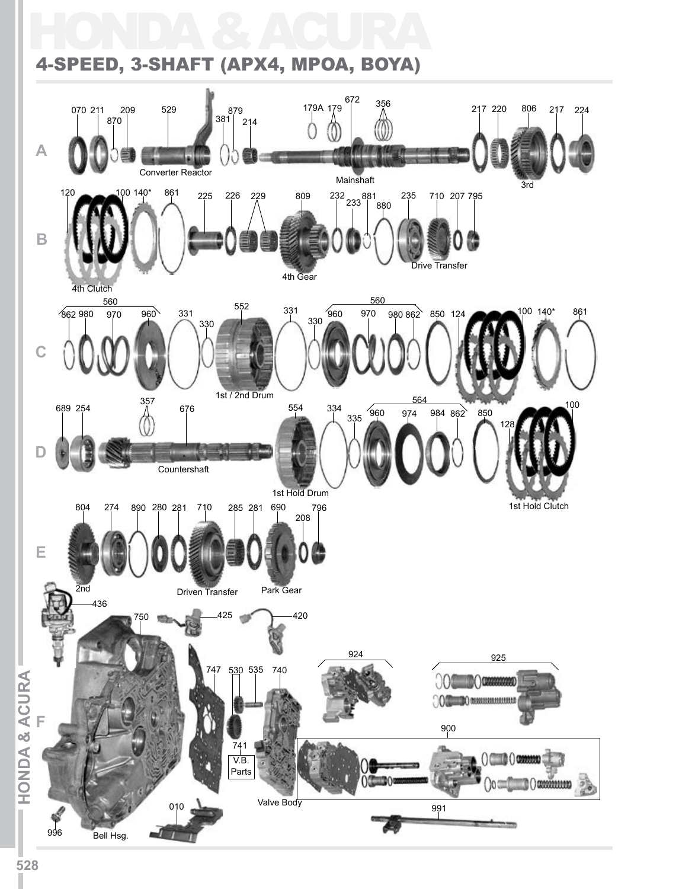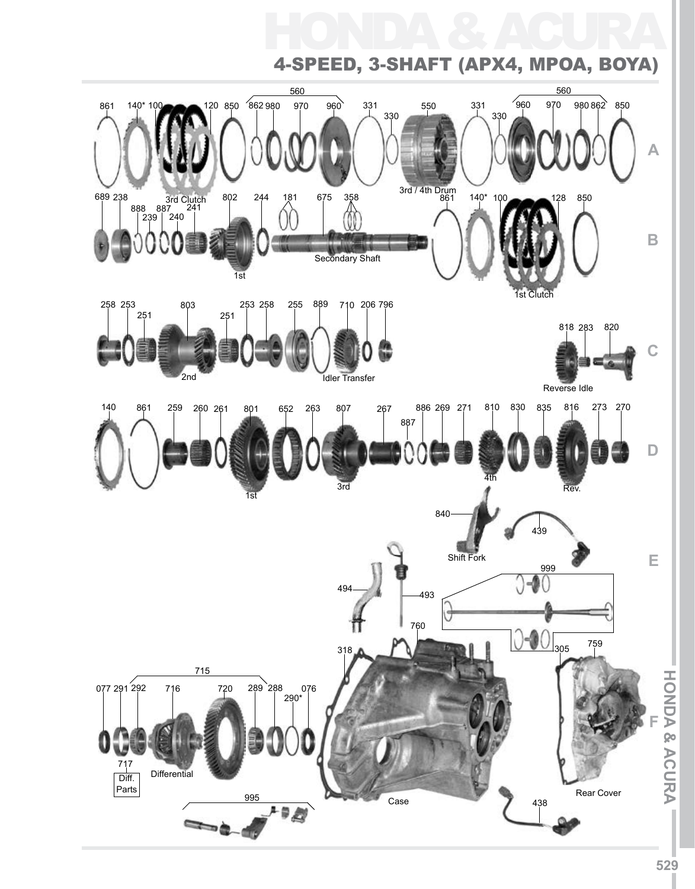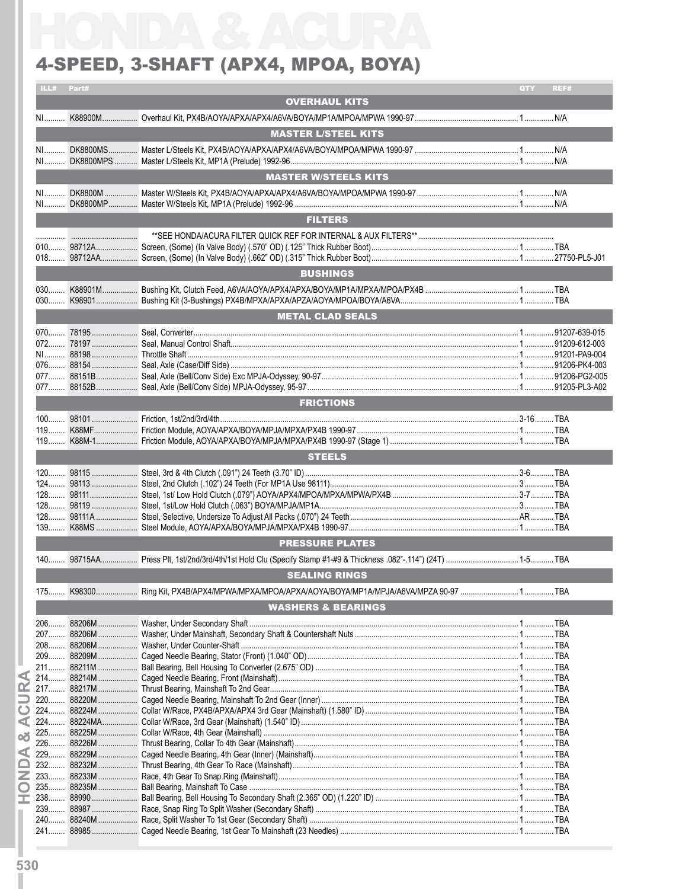### 4-SPEED, 3-SHAFT (APX4, MPOA, BOYA)

| ILL#           | Part#                                           |                                                                             | QTY | REF# |
|----------------|-------------------------------------------------|-----------------------------------------------------------------------------|-----|------|
|                |                                                 | <b>OVERHAUL KITS</b>                                                        |     |      |
| NL             |                                                 |                                                                             |     |      |
|                |                                                 |                                                                             |     |      |
|                |                                                 | <b>MASTER L/STEEL KITS</b>                                                  |     |      |
| $N1$<br>NI     |                                                 |                                                                             |     |      |
|                |                                                 | <b>MASTER W/STEELS KITS</b>                                                 |     |      |
| $N1$           |                                                 |                                                                             |     |      |
| NI             |                                                 |                                                                             |     |      |
|                |                                                 | <b>FILTERS</b>                                                              |     |      |
|                |                                                 |                                                                             |     |      |
|                | the contract of the contract of the contract of |                                                                             |     |      |
|                |                                                 |                                                                             |     |      |
|                |                                                 |                                                                             |     |      |
|                |                                                 | <b>BUSHINGS</b>                                                             |     |      |
| $030$<br>$030$ |                                                 |                                                                             |     |      |
|                |                                                 | <b>METAL CLAD SEALS</b>                                                     |     |      |
|                |                                                 |                                                                             |     |      |
| $072$          |                                                 |                                                                             |     |      |
|                |                                                 |                                                                             |     |      |
|                |                                                 |                                                                             |     |      |
|                |                                                 |                                                                             |     |      |
|                |                                                 |                                                                             |     |      |
|                |                                                 | <b>FRICTIONS</b>                                                            |     |      |
|                |                                                 |                                                                             |     |      |
| $119$          |                                                 |                                                                             |     |      |
|                |                                                 |                                                                             |     |      |
|                |                                                 | <b>STEELS</b>                                                               |     |      |
|                |                                                 |                                                                             |     |      |
|                |                                                 |                                                                             |     |      |
| $124$          |                                                 |                                                                             |     |      |
|                |                                                 |                                                                             |     |      |
|                |                                                 |                                                                             |     |      |
|                |                                                 |                                                                             |     |      |
|                |                                                 | <b>PRESSURE PLATES</b>                                                      |     |      |
|                |                                                 |                                                                             |     |      |
|                |                                                 | <b>SEALING RINGS</b>                                                        |     |      |
| 175            | K98300                                          | Ring Kit. PX4B/APX4/MPWA/MPXA/MPOA/APXA/AOYA/BOYA/MP1A/MPJA/A6VA/MPZA 90-97 |     | TBA  |
|                |                                                 |                                                                             |     |      |
|                |                                                 | <b>WASHERS &amp; BEARINGS</b>                                               |     |      |
| 206            |                                                 |                                                                             |     |      |
| $207$          |                                                 |                                                                             |     |      |
| $208$          |                                                 |                                                                             |     |      |
| 211            |                                                 |                                                                             |     |      |
| $214$          | 88214M                                          |                                                                             |     |      |
| 217            |                                                 |                                                                             |     |      |
| 220            |                                                 |                                                                             |     |      |
| $224$          |                                                 |                                                                             |     |      |
| $224$          |                                                 |                                                                             |     |      |
| 225            | 88225M                                          |                                                                             |     |      |
| $226$          |                                                 |                                                                             |     |      |
| 229<br>$232$   |                                                 |                                                                             |     |      |
| 233            |                                                 |                                                                             |     |      |
| 235            | 88235M                                          |                                                                             |     |      |
| 238            | 88990                                           |                                                                             |     |      |
| 239            |                                                 |                                                                             |     |      |
| 240            |                                                 |                                                                             |     |      |
| 241            |                                                 |                                                                             |     |      |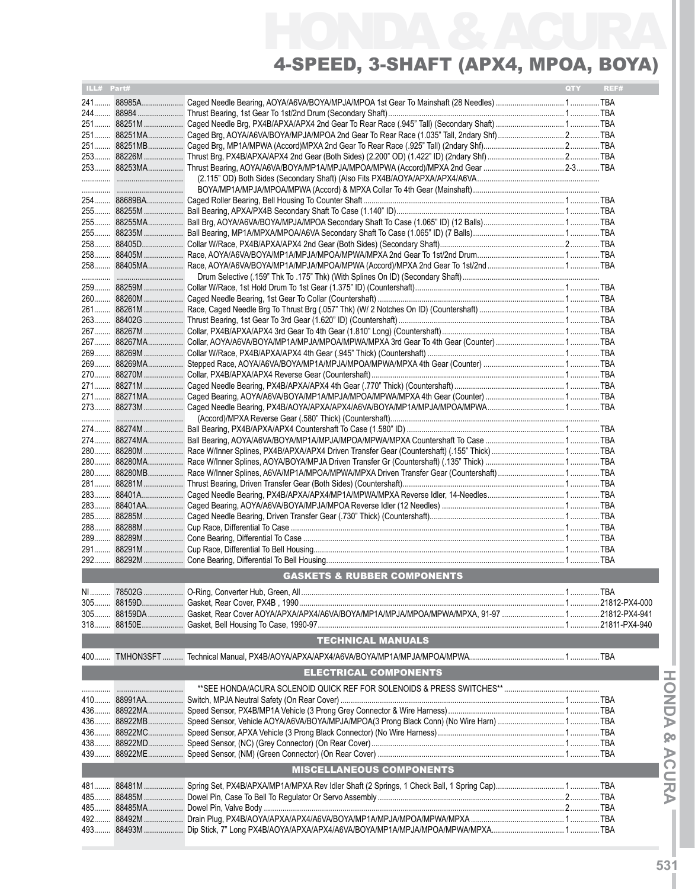| 251 88251M<br>251 88251MA<br>251 88251MB<br>253 88253MA<br>.<br>254  88689BA<br>255 88255MA<br>255 88235M<br>258<br>88405D<br>258 88405M<br>.<br>259 88259M<br>260 88260M<br>261 88261M<br>263 88402G<br>267 88267M<br>267 88267MA<br>269  88269M<br>269 88269MA<br>271 88271M<br>271 88271MA<br>273 88273M<br>280 88280M<br>280 88280MA<br>280 88280MB<br>281 88281M<br>283<br>88401A<br>$283$<br>88401AA<br>285<br>88285M<br>292<br><b>GASKETS &amp; RUBBER COMPONENTS</b><br><b>TECHNICAL MANUALS</b><br><b>ELECTRICAL COMPONENTS</b><br>436  88922MA<br>439<br><b>MISCELLANEOUS COMPONENTS</b><br>481  88481M | ILL# Part# |  | QTY | REF# |
|-------------------------------------------------------------------------------------------------------------------------------------------------------------------------------------------------------------------------------------------------------------------------------------------------------------------------------------------------------------------------------------------------------------------------------------------------------------------------------------------------------------------------------------------------------------------------------------------------------------------|------------|--|-----|------|
|                                                                                                                                                                                                                                                                                                                                                                                                                                                                                                                                                                                                                   |            |  |     |      |
|                                                                                                                                                                                                                                                                                                                                                                                                                                                                                                                                                                                                                   |            |  |     |      |
|                                                                                                                                                                                                                                                                                                                                                                                                                                                                                                                                                                                                                   |            |  |     |      |
|                                                                                                                                                                                                                                                                                                                                                                                                                                                                                                                                                                                                                   |            |  |     |      |
|                                                                                                                                                                                                                                                                                                                                                                                                                                                                                                                                                                                                                   |            |  |     |      |
|                                                                                                                                                                                                                                                                                                                                                                                                                                                                                                                                                                                                                   |            |  |     |      |
|                                                                                                                                                                                                                                                                                                                                                                                                                                                                                                                                                                                                                   |            |  |     |      |
|                                                                                                                                                                                                                                                                                                                                                                                                                                                                                                                                                                                                                   |            |  |     |      |
|                                                                                                                                                                                                                                                                                                                                                                                                                                                                                                                                                                                                                   |            |  |     |      |
|                                                                                                                                                                                                                                                                                                                                                                                                                                                                                                                                                                                                                   |            |  |     |      |
|                                                                                                                                                                                                                                                                                                                                                                                                                                                                                                                                                                                                                   |            |  |     |      |
|                                                                                                                                                                                                                                                                                                                                                                                                                                                                                                                                                                                                                   |            |  |     |      |
|                                                                                                                                                                                                                                                                                                                                                                                                                                                                                                                                                                                                                   |            |  |     |      |
|                                                                                                                                                                                                                                                                                                                                                                                                                                                                                                                                                                                                                   |            |  |     |      |
|                                                                                                                                                                                                                                                                                                                                                                                                                                                                                                                                                                                                                   |            |  |     |      |
|                                                                                                                                                                                                                                                                                                                                                                                                                                                                                                                                                                                                                   |            |  |     |      |
|                                                                                                                                                                                                                                                                                                                                                                                                                                                                                                                                                                                                                   |            |  |     |      |
|                                                                                                                                                                                                                                                                                                                                                                                                                                                                                                                                                                                                                   |            |  |     |      |
|                                                                                                                                                                                                                                                                                                                                                                                                                                                                                                                                                                                                                   |            |  |     |      |
|                                                                                                                                                                                                                                                                                                                                                                                                                                                                                                                                                                                                                   |            |  |     |      |
|                                                                                                                                                                                                                                                                                                                                                                                                                                                                                                                                                                                                                   |            |  |     |      |
|                                                                                                                                                                                                                                                                                                                                                                                                                                                                                                                                                                                                                   |            |  |     |      |
|                                                                                                                                                                                                                                                                                                                                                                                                                                                                                                                                                                                                                   |            |  |     |      |
|                                                                                                                                                                                                                                                                                                                                                                                                                                                                                                                                                                                                                   |            |  |     |      |
|                                                                                                                                                                                                                                                                                                                                                                                                                                                                                                                                                                                                                   |            |  |     |      |
|                                                                                                                                                                                                                                                                                                                                                                                                                                                                                                                                                                                                                   |            |  |     |      |
|                                                                                                                                                                                                                                                                                                                                                                                                                                                                                                                                                                                                                   |            |  |     |      |
|                                                                                                                                                                                                                                                                                                                                                                                                                                                                                                                                                                                                                   |            |  |     |      |
|                                                                                                                                                                                                                                                                                                                                                                                                                                                                                                                                                                                                                   |            |  |     |      |
|                                                                                                                                                                                                                                                                                                                                                                                                                                                                                                                                                                                                                   |            |  |     |      |
|                                                                                                                                                                                                                                                                                                                                                                                                                                                                                                                                                                                                                   |            |  |     |      |
|                                                                                                                                                                                                                                                                                                                                                                                                                                                                                                                                                                                                                   |            |  |     |      |
|                                                                                                                                                                                                                                                                                                                                                                                                                                                                                                                                                                                                                   |            |  |     |      |
|                                                                                                                                                                                                                                                                                                                                                                                                                                                                                                                                                                                                                   |            |  |     |      |
|                                                                                                                                                                                                                                                                                                                                                                                                                                                                                                                                                                                                                   |            |  |     |      |
|                                                                                                                                                                                                                                                                                                                                                                                                                                                                                                                                                                                                                   |            |  |     |      |
|                                                                                                                                                                                                                                                                                                                                                                                                                                                                                                                                                                                                                   |            |  |     |      |
|                                                                                                                                                                                                                                                                                                                                                                                                                                                                                                                                                                                                                   |            |  |     |      |
|                                                                                                                                                                                                                                                                                                                                                                                                                                                                                                                                                                                                                   |            |  |     |      |
|                                                                                                                                                                                                                                                                                                                                                                                                                                                                                                                                                                                                                   |            |  |     |      |
|                                                                                                                                                                                                                                                                                                                                                                                                                                                                                                                                                                                                                   |            |  |     |      |
|                                                                                                                                                                                                                                                                                                                                                                                                                                                                                                                                                                                                                   |            |  |     |      |
|                                                                                                                                                                                                                                                                                                                                                                                                                                                                                                                                                                                                                   |            |  |     |      |
|                                                                                                                                                                                                                                                                                                                                                                                                                                                                                                                                                                                                                   |            |  |     |      |
|                                                                                                                                                                                                                                                                                                                                                                                                                                                                                                                                                                                                                   |            |  |     |      |
|                                                                                                                                                                                                                                                                                                                                                                                                                                                                                                                                                                                                                   |            |  |     |      |
|                                                                                                                                                                                                                                                                                                                                                                                                                                                                                                                                                                                                                   |            |  |     |      |
|                                                                                                                                                                                                                                                                                                                                                                                                                                                                                                                                                                                                                   |            |  |     |      |
|                                                                                                                                                                                                                                                                                                                                                                                                                                                                                                                                                                                                                   |            |  |     |      |
|                                                                                                                                                                                                                                                                                                                                                                                                                                                                                                                                                                                                                   |            |  |     |      |
|                                                                                                                                                                                                                                                                                                                                                                                                                                                                                                                                                                                                                   |            |  |     |      |
|                                                                                                                                                                                                                                                                                                                                                                                                                                                                                                                                                                                                                   |            |  |     |      |
|                                                                                                                                                                                                                                                                                                                                                                                                                                                                                                                                                                                                                   |            |  |     |      |
|                                                                                                                                                                                                                                                                                                                                                                                                                                                                                                                                                                                                                   |            |  |     |      |
|                                                                                                                                                                                                                                                                                                                                                                                                                                                                                                                                                                                                                   |            |  |     |      |
|                                                                                                                                                                                                                                                                                                                                                                                                                                                                                                                                                                                                                   |            |  |     |      |
|                                                                                                                                                                                                                                                                                                                                                                                                                                                                                                                                                                                                                   |            |  |     |      |
|                                                                                                                                                                                                                                                                                                                                                                                                                                                                                                                                                                                                                   |            |  |     |      |
|                                                                                                                                                                                                                                                                                                                                                                                                                                                                                                                                                                                                                   |            |  |     |      |
|                                                                                                                                                                                                                                                                                                                                                                                                                                                                                                                                                                                                                   |            |  |     |      |
|                                                                                                                                                                                                                                                                                                                                                                                                                                                                                                                                                                                                                   |            |  |     |      |
|                                                                                                                                                                                                                                                                                                                                                                                                                                                                                                                                                                                                                   |            |  |     |      |
|                                                                                                                                                                                                                                                                                                                                                                                                                                                                                                                                                                                                                   |            |  |     |      |
|                                                                                                                                                                                                                                                                                                                                                                                                                                                                                                                                                                                                                   |            |  |     |      |
|                                                                                                                                                                                                                                                                                                                                                                                                                                                                                                                                                                                                                   |            |  |     |      |
|                                                                                                                                                                                                                                                                                                                                                                                                                                                                                                                                                                                                                   |            |  |     |      |
|                                                                                                                                                                                                                                                                                                                                                                                                                                                                                                                                                                                                                   |            |  |     |      |
|                                                                                                                                                                                                                                                                                                                                                                                                                                                                                                                                                                                                                   |            |  |     |      |
|                                                                                                                                                                                                                                                                                                                                                                                                                                                                                                                                                                                                                   |            |  |     |      |
|                                                                                                                                                                                                                                                                                                                                                                                                                                                                                                                                                                                                                   |            |  |     |      |
|                                                                                                                                                                                                                                                                                                                                                                                                                                                                                                                                                                                                                   |            |  |     |      |
|                                                                                                                                                                                                                                                                                                                                                                                                                                                                                                                                                                                                                   |            |  |     |      |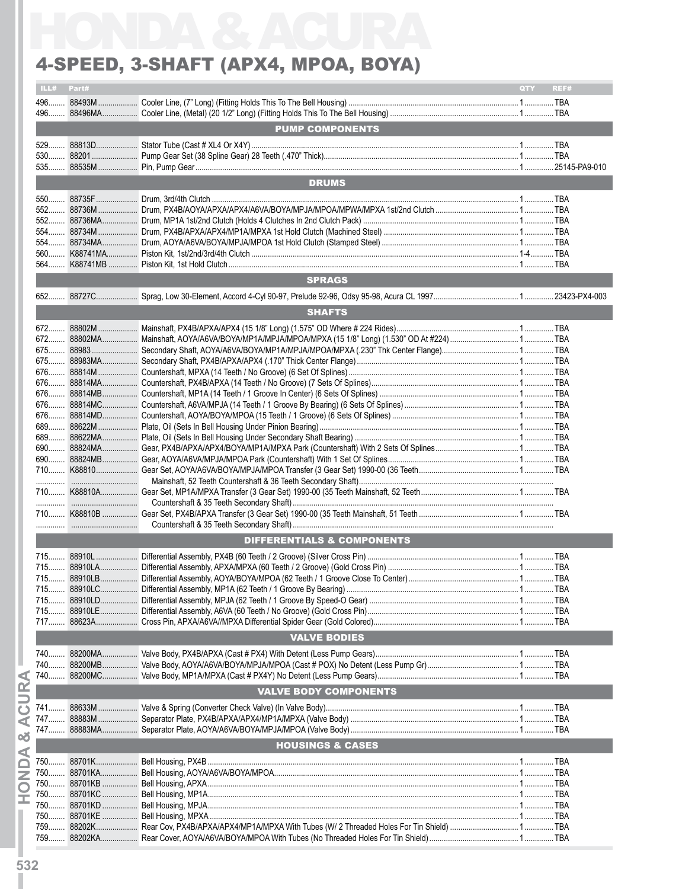#### 4-Speed, 3-Shaft (APX4, MPOA, BOYA)

|      |       | 4-SPEED, 3-SHAFT (APX4, MPOA, BOYA) |            |      |
|------|-------|-------------------------------------|------------|------|
| ILL# | Part# |                                     | <b>OTY</b> | REF# |
|      |       |                                     |            |      |
|      |       |                                     |            |      |
|      |       | <b>PUMP COMPONENTS</b>              |            |      |
|      |       |                                     |            |      |
|      |       |                                     |            |      |
|      |       |                                     |            |      |
|      |       | <b>DRUMS</b>                        |            |      |
|      |       |                                     |            |      |
|      |       |                                     |            |      |
|      |       |                                     |            |      |
|      |       |                                     |            |      |
|      |       |                                     |            |      |
|      |       |                                     |            |      |
|      |       |                                     |            |      |
|      |       | <b>SPRAGS</b>                       |            |      |
|      |       |                                     |            |      |
|      |       | <b>SHAFTS</b>                       |            |      |
|      |       |                                     |            |      |
|      |       |                                     |            |      |
|      |       |                                     |            |      |
|      |       |                                     |            |      |
|      |       |                                     |            |      |
|      |       |                                     |            |      |
|      |       |                                     |            |      |
|      |       |                                     |            |      |
|      |       |                                     |            |      |
|      |       |                                     |            |      |
|      |       |                                     |            |      |
|      |       |                                     |            |      |
|      |       |                                     |            |      |
|      |       |                                     |            |      |
|      |       |                                     |            |      |
|      |       |                                     |            |      |
|      |       |                                     |            |      |
|      |       |                                     |            |      |
|      |       | DIFFERENTIALS & COMPONENTS          |            |      |
|      |       |                                     |            |      |
|      |       |                                     |            |      |
|      |       |                                     |            |      |
|      |       |                                     |            |      |
|      |       |                                     |            |      |
|      |       |                                     |            |      |
|      |       | <b>VALVE BODIES</b>                 |            |      |
|      |       |                                     |            |      |
|      |       |                                     |            |      |
| 740  |       |                                     |            |      |
|      |       |                                     |            |      |
|      |       | <b>VALVE BODY COMPONENTS</b>        |            |      |
|      |       |                                     |            |      |
|      |       |                                     |            |      |
|      |       |                                     |            |      |
|      |       | <b>HOUSINGS &amp; CASES</b>         |            |      |
|      |       |                                     |            |      |
|      |       |                                     |            |      |
|      |       |                                     |            |      |
|      |       |                                     |            |      |
|      |       |                                     |            |      |
|      |       |                                     |            |      |
|      |       |                                     |            |      |
|      |       |                                     |            |      |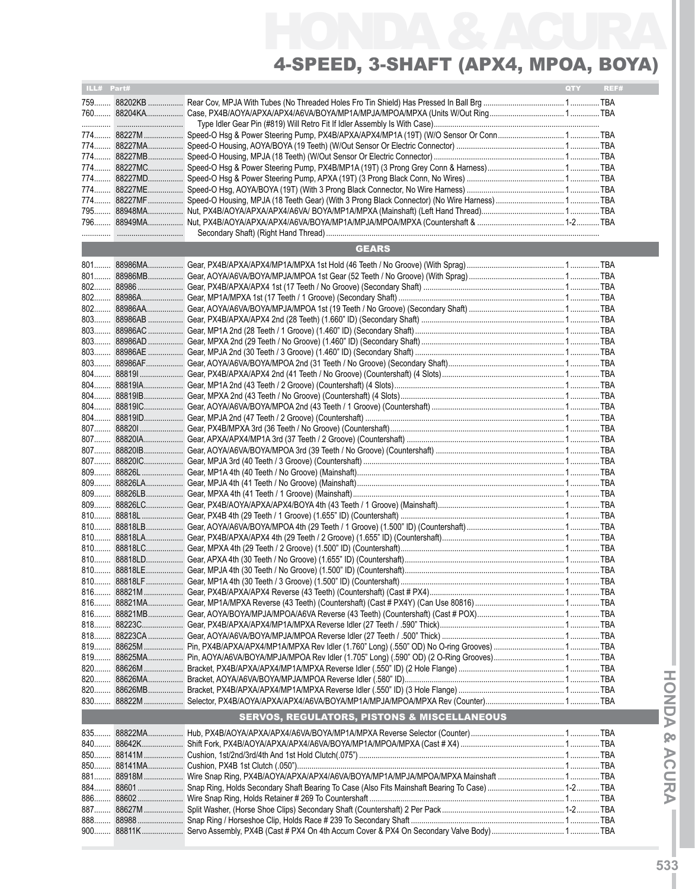| ILL# Part# |                                                                                                 | <b>QTY</b> | REF# |
|------------|-------------------------------------------------------------------------------------------------|------------|------|
|            |                                                                                                 |            |      |
|            |                                                                                                 |            |      |
|            |                                                                                                 |            |      |
|            | 774 88227M Speed-O Hsg & Power Steering Pump, PX4B/APXA/APX4/MP1A (19T) (W/O Sensor Or Conn TBA |            |      |
|            |                                                                                                 |            |      |
|            |                                                                                                 |            |      |
|            |                                                                                                 |            |      |
|            |                                                                                                 |            |      |
|            |                                                                                                 |            |      |
|            |                                                                                                 |            |      |
|            |                                                                                                 |            |      |
|            |                                                                                                 |            |      |
|            |                                                                                                 |            |      |
|            | <b>GEARS</b>                                                                                    |            |      |
|            |                                                                                                 |            |      |
|            |                                                                                                 |            |      |
|            |                                                                                                 |            |      |
|            |                                                                                                 |            |      |
|            |                                                                                                 |            |      |
|            |                                                                                                 |            |      |
|            |                                                                                                 |            |      |
|            |                                                                                                 |            |      |
|            |                                                                                                 |            |      |
|            |                                                                                                 |            |      |
|            |                                                                                                 |            |      |
|            |                                                                                                 |            |      |
|            |                                                                                                 |            |      |
|            |                                                                                                 |            |      |
|            |                                                                                                 |            |      |
|            |                                                                                                 |            |      |
|            |                                                                                                 |            |      |
|            |                                                                                                 |            |      |
|            |                                                                                                 |            |      |
|            |                                                                                                 |            |      |
|            |                                                                                                 |            |      |
|            |                                                                                                 |            |      |
|            |                                                                                                 |            |      |
|            |                                                                                                 |            |      |
|            |                                                                                                 |            |      |
|            |                                                                                                 |            |      |
|            |                                                                                                 |            |      |
|            |                                                                                                 |            |      |
|            |                                                                                                 |            |      |
|            |                                                                                                 |            |      |
| $816$      |                                                                                                 |            |      |
|            |                                                                                                 |            |      |
| 818        |                                                                                                 |            |      |
|            |                                                                                                 |            |      |
| 819        |                                                                                                 |            |      |
| $820$      |                                                                                                 |            |      |
| $820$      |                                                                                                 |            |      |
| 820        |                                                                                                 |            |      |
| 830        |                                                                                                 |            |      |
|            | <b>SERVOS, REGULATORS, PISTONS &amp; MISCELLANEOUS</b>                                          |            |      |
| 835        |                                                                                                 |            |      |
| 840        |                                                                                                 |            |      |
| 850        |                                                                                                 |            |      |
|            |                                                                                                 |            |      |
| 881        | 88918M  Wire Snap Ring, PX4B/AOYA/APXA/APX4/A6VA/BOYA/MP1A/MPJA/MPOA/MPXA Mainshaft  TBA        |            |      |
| 884        |                                                                                                 |            |      |
| 886        |                                                                                                 |            |      |
| 887        |                                                                                                 |            |      |
|            |                                                                                                 |            |      |
|            |                                                                                                 |            |      |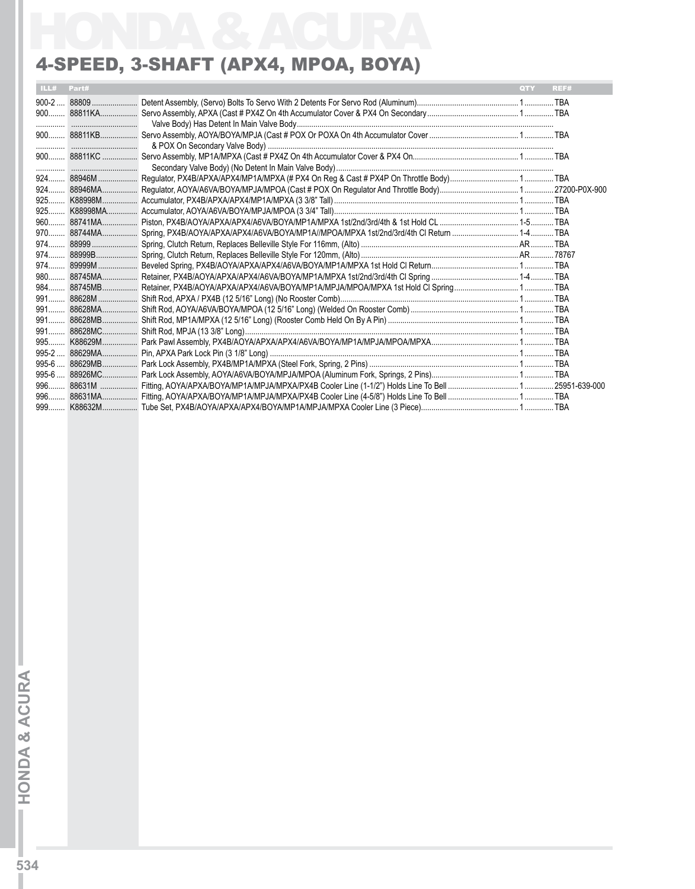### 4-Speed, 3-Shaft (APX4, MPOA, BOYA)

|       | ILL# Part#  | QTY | REF# |
|-------|-------------|-----|------|
|       |             |     |      |
|       |             |     |      |
|       |             |     |      |
|       |             |     |      |
|       |             |     |      |
|       |             |     |      |
|       |             |     |      |
|       | 924 88946MA |     |      |
|       |             |     |      |
|       |             |     |      |
|       |             |     |      |
|       |             |     |      |
|       |             |     |      |
|       |             |     |      |
|       |             |     |      |
|       |             |     |      |
|       |             |     |      |
|       |             |     |      |
|       |             |     |      |
|       |             |     |      |
|       |             |     |      |
|       |             |     |      |
|       |             |     |      |
|       |             |     |      |
|       |             |     |      |
|       |             |     |      |
| $999$ |             |     |      |
|       |             |     |      |